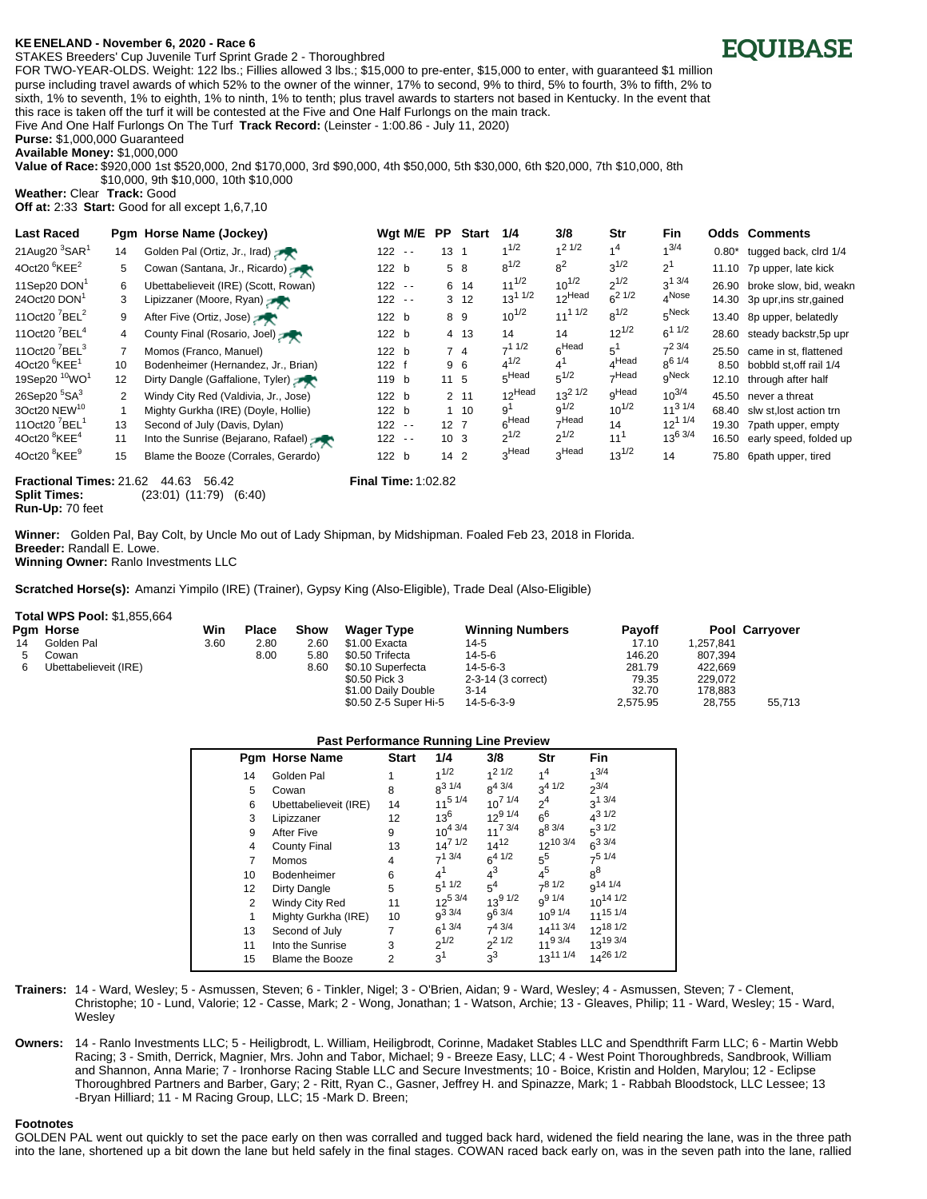## **KE<ENELAND - November 6, 2020 - Race 6**

STAKES Breeders' Cup Juvenile Turf Sprint Grade 2 - Thoroughbred

FOR TWO-YEAR-OLDS. Weight: 122 lbs.; Fillies allowed 3 lbs.; \$15,000 to pre-enter, \$15,000 to enter, with guaranteed \$1 million purse including travel awards of which 52% to the owner of the winner, 17% to second, 9% to third, 5% to fourth, 3% to fifth, 2% to sixth, 1% to seventh, 1% to eighth, 1% to ninth, 1% to tenth; plus travel awards to starters not based in Kentucky. In the event that this race is taken off the turf it will be contested at the Five and One Half Furlongs on the main track.

Five And One Half Furlongs On The Turf **Track Record:** (Leinster - 1:00.86 - July 11, 2020)

**Purse:** \$1,000,000 Guaranteed

**Available Money:** \$1,000,000

**Value of Race:** \$920,000 1st \$520,000, 2nd \$170,000, 3rd \$90,000, 4th \$50,000, 5th \$30,000, 6th \$20,000, 7th \$10,000, 8th \$10,000, 9th \$10,000, 10th \$10,000

**Weather:** Clear **Track:** Good **Off at:** 2:33 **Start:** Good for all except 1,6,7,10

| <b>Last Raced</b>                     |                   | Pgm Horse Name (Jockey)              |           | Wgt M/E | PP.             | <b>Start</b>    | 1/4                | 3/8               | Str               | <b>Fin</b>        |          | <b>Odds Comments</b>          |
|---------------------------------------|-------------------|--------------------------------------|-----------|---------|-----------------|-----------------|--------------------|-------------------|-------------------|-------------------|----------|-------------------------------|
| 21Aug20 $3$ SAR $1$                   | 14                | Golden Pal (Ortiz, Jr., Irad)        | $122 - -$ |         | $13 \quad 1$    |                 | $1^{1/2}$          | $1/2$ 1/2         | 4 <sup>4</sup>    | $1^{3/4}$         | $0.80^*$ | tugged back, clrd 1/4         |
| 4Oct20 $6$ KEE <sup>2</sup>           | 5                 | Cowan (Santana, Jr., Ricardo)        | 122 b     |         |                 | 5 8             | $8^{1/2}$          | $8^2$             | $3^{1/2}$         | 2 <sup>1</sup>    |          | 11.10 7p upper, late kick     |
| 11Sep20 DON <sup>1</sup>              | 6                 | Ubettabelieveit (IRE) (Scott, Rowan) | $122 - -$ |         |                 | 6 14            | $11^{1/2}$         | $10^{1/2}$        | $2^{1/2}$         | $3^{13/4}$        |          | 26.90 broke slow, bid, weakn  |
| 24Oct20 DON <sup>1</sup>              | 3                 | Lipizzaner (Moore, Ryan)             | $122 - -$ |         |                 | 3 <sub>12</sub> | $13^{11/2}$        | $12$ Head         | $6^{21/2}$        | $4^{\text{Nose}}$ |          | 14.30 3p upr, ins str, gained |
| 11Oct20 $^7$ BEL <sup>2</sup>         | 9                 | After Five (Ortiz, Jose)             | 122 b     |         | 89              |                 | $10^{1/2}$         | $11^{11/2}$       | $8^{1/2}$         | $5^{\text{Neck}}$ |          | 13.40 8p upper, belatedly     |
| 11Oct20 <sup>7</sup> BEL <sup>4</sup> | 4                 | County Final (Rosario, Joel)         | 122 b     |         |                 | 4 13            | 14                 | 14                | $12^{1/2}$        | $6^{11/2}$        |          | 28.60 steady backstr, 5p upr  |
| 11Oct20 <sup>7</sup> BEL <sup>3</sup> |                   | Momos (Franco, Manuel)               | 122 b     |         |                 | 74              | $-11/2$            | 6 <sup>Head</sup> | $5^1$             | $7^2$ 3/4         | 25.50    | came in st, flattened         |
| 4Oct20 $6$ KEE $1$                    | 10 <sup>1</sup>   | Bodenheimer (Hernandez, Jr., Brian)  | 122 f     |         |                 | 9 6             | $4^{1/2}$          | 4'                | $_A$ Head         | $8^{6}$ 1/4       | 8.50     | bobbld st.off rail 1/4        |
| 19Sep20 <sup>10</sup> WO <sup>1</sup> | $12 \overline{ }$ | Dirty Dangle (Gaffalione, Tyler)     | 119 b     |         | 11 <sub>5</sub> |                 | 5Head              | $5^{1/2}$         | <sub>7</sub> Head | gNeck             | 12.10    | through after half            |
| 26Sep20 <sup>5</sup> SA <sup>3</sup>  | $\overline{2}$    | Windy City Red (Valdivia, Jr., Jose) | 122 b     |         |                 | 2 11            | 12 <sup>Head</sup> | $13^{2}$ $1/2$    | <sub>Q</sub> Head | $10^{3/4}$        | 45.50    | never a threat                |
| 3Oct20 NEW <sup>10</sup>              |                   | Mighty Gurkha (IRE) (Doyle, Hollie)  | 122 b     |         |                 | $1 \quad 10$    | g <sup>1</sup>     | $9^{1/2}$         | $10^{1/2}$        | $11^{31/4}$       | 68.40    | slw st.lost action trn        |
| 11Oct20 <sup>7</sup> BEL <sup>1</sup> | 13                | Second of July (Davis, Dylan)        | $122 - -$ |         | 12 <sub>7</sub> |                 | 6Head              | -Head             | 14                | $12^{11/4}$       | 19.30    | 7path upper, empty            |
| 4Oct20 ${}^{8}$ KEE <sup>4</sup>      | 11                | Into the Sunrise (Bejarano, Rafael)  | $122 - -$ |         | 10 <sub>3</sub> |                 | $2^{1/2}$          | $2^{1/2}$         | 11 <sup>1</sup>   | $13^{6}$ 3/4      | 16.50    | early speed, folded up        |
| 4Oct20 <sup>8</sup> KEE <sup>9</sup>  | 15                | Blame the Booze (Corrales, Gerardo)  | 122 b     |         | 14 <sub>2</sub> |                 | 3Head              | 3Head             | $13^{1/2}$        | 14                | 75.80    | 6path upper, tired            |

**Fractional Times:** 21.62 44.63 56.42 **Final Time:** 1:02.82 **Split Times:** (23:01) (11:79) (6:40) **Run-Up:** 70 feet

**Winner:** Golden Pal, Bay Colt, by Uncle Mo out of Lady Shipman, by Midshipman. Foaled Feb 23, 2018 in Florida. **Breeder:** Randall E. Lowe. **Winning Owner:** Ranlo Investments LLC

**Scratched Horse(s):** Amanzi Yimpilo (IRE) (Trainer), Gypsy King (Also-Eligible), Trade Deal (Also-Eligible)

## **Total WPS Pool:** \$1,855,664

|    | Pam Horse             | Win  | <b>Place</b> | Show | <b>Wager Type</b>     | <b>Winning Numbers</b> | <b>Pavoff</b> |           | <b>Pool Carryover</b> |
|----|-----------------------|------|--------------|------|-----------------------|------------------------|---------------|-----------|-----------------------|
| 14 | Golden Pal            | 3.60 | 2.80         | 2.60 | \$1.00 Exacta         | 14-5                   | 17.10         | 1.257.841 |                       |
|    | Cowan                 |      | 8.00         | 5.80 | \$0.50 Trifecta       | $14 - 5 - 6$           | 146.20        | 807.394   |                       |
|    | Ubettabelieveit (IRE) |      |              | 8.60 | \$0.10 Superfecta     | $14 - 5 - 6 - 3$       | 281.79        | 422.669   |                       |
|    |                       |      |              |      | \$0.50 Pick 3         | 2-3-14 (3 correct)     | 79.35         | 229.072   |                       |
|    |                       |      |              |      | \$1.00 Daily Double   | $3 - 14$               | 32.70         | 178.883   |                       |
|    |                       |      |              |      | \$0.50 Z-5 Super Hi-5 | 14-5-6-3-9             | 2.575.95      | 28.755    | 55.713                |

| <b>Pam Horse Name</b>  | <b>Start</b> | 1/4        | 3/8                                                                                                                                                                   | Str                                                                                                                                                                                                  | Fin                                                                                                                                                                            |
|------------------------|--------------|------------|-----------------------------------------------------------------------------------------------------------------------------------------------------------------------|------------------------------------------------------------------------------------------------------------------------------------------------------------------------------------------------------|--------------------------------------------------------------------------------------------------------------------------------------------------------------------------------|
| Golden Pal             |              | 1/2        | $1/2$ 1/2                                                                                                                                                             | 1 <sup>4</sup>                                                                                                                                                                                       | $1^{3/4}$                                                                                                                                                                      |
| Cowan                  | 8            | $8^{31/4}$ |                                                                                                                                                                       |                                                                                                                                                                                                      | $2^{3/4}$                                                                                                                                                                      |
| Ubettabelieveit (IRE)  | 14           |            |                                                                                                                                                                       | 2 <sup>4</sup>                                                                                                                                                                                       | $3^{1}$ 3/4                                                                                                                                                                    |
| Lipizzaner             | 12           |            |                                                                                                                                                                       |                                                                                                                                                                                                      | $4^{31/2}$                                                                                                                                                                     |
| After Five             | 9            |            |                                                                                                                                                                       |                                                                                                                                                                                                      | $5^3$ 1/2                                                                                                                                                                      |
| County Final           | 13           |            |                                                                                                                                                                       |                                                                                                                                                                                                      | $6^{3.3/4}$                                                                                                                                                                    |
| Momos                  | 4            |            |                                                                                                                                                                       |                                                                                                                                                                                                      | $7^5$ 1/4                                                                                                                                                                      |
| <b>Bodenheimer</b>     | 6            |            |                                                                                                                                                                       |                                                                                                                                                                                                      | $8^8$                                                                                                                                                                          |
| Dirty Dangle           | 5            |            |                                                                                                                                                                       |                                                                                                                                                                                                      | 9 <sup>14 1/4</sup>                                                                                                                                                            |
| Windy City Red         | 11           |            |                                                                                                                                                                       |                                                                                                                                                                                                      | $10^{14}$ $1/2$                                                                                                                                                                |
| Mighty Gurkha (IRE)    | 10           |            |                                                                                                                                                                       |                                                                                                                                                                                                      | $11^{15}$ $1/4$                                                                                                                                                                |
| Second of July         | 7            |            |                                                                                                                                                                       |                                                                                                                                                                                                      | $12^{18}$ $1/2$                                                                                                                                                                |
| Into the Sunrise       | 3            |            |                                                                                                                                                                       |                                                                                                                                                                                                      | 1319 3/4                                                                                                                                                                       |
| <b>Blame the Booze</b> | 2            |            |                                                                                                                                                                       |                                                                                                                                                                                                      | $14^{26}$ $1/2$                                                                                                                                                                |
|                        |              |            | $11^5$ $1/4$<br>$13^6$<br>$10^{4}$ 3/4<br>$14^{7}$ $1/2$<br>$7^1$ 3/4<br>41<br>$5^1$ $1/2$<br>$12^{5}$ 3/4<br>$9^{3}3/4$<br>$6^{13/4}$<br>$2^{1/2}$<br>3 <sup>1</sup> | $8^{4}$ 3/4<br>$10^{7}$ $1/4$<br>$12^{9}$ $1/4$<br>$11^{7}$ 3/4<br>$14^{12}$<br>$6^{4}$ $1/2$<br>$4^3$<br>5 <sup>4</sup><br>$13^{9}$ $1/2$<br>g <sup>6 3/4</sup><br>$7^4$ 3/4<br>$2^{21/2}$<br>$3^3$ | $3^{4}$ $1/2$<br>$6^6$<br>$8^{8}$ 3/4<br>$12^{10.3/4}$<br>$5^{5}$<br>$4^5$<br>$7^{8}$ 1/2<br>$9^{9}$ 1/4<br>$10^{9}$ $1/4$<br>$14^{11}$ 3/4<br>$11^{9}$ 3/4<br>$13^{11}$ $1/4$ |

**Trainers:** 14 - Ward, Wesley; 5 - Asmussen, Steven; 6 - Tinkler, Nigel; 3 - O'Brien, Aidan; 9 - Ward, Wesley; 4 - Asmussen, Steven; 7 - Clement, Christophe; 10 - Lund, Valorie; 12 - Casse, Mark; 2 - Wong, Jonathan; 1 - Watson, Archie; 13 - Gleaves, Philip; 11 - Ward, Wesley; 15 - Ward, **Wesley** 

**Owners:** 14 - Ranlo Investments LLC; 5 - Heiligbrodt, L. William, Heiligbrodt, Corinne, Madaket Stables LLC and Spendthrift Farm LLC; 6 - Martin Webb Racing; 3 - Smith, Derrick, Magnier, Mrs. John and Tabor, Michael; 9 - Breeze Easy, LLC; 4 - West Point Thoroughbreds, Sandbrook, William and Shannon, Anna Marie; 7 - Ironhorse Racing Stable LLC and Secure Investments; 10 - Boice, Kristin and Holden, Marylou; 12 - Eclipse Thoroughbred Partners and Barber, Gary; 2 - Ritt, Ryan C., Gasner, Jeffrey H. and Spinazze, Mark; 1 - Rabbah Bloodstock, LLC Lessee; 13 -Bryan Hilliard; 11 - M Racing Group, LLC; 15 -Mark D. Breen;

## **Footnotes**

GOLDEN PAL went out quickly to set the pace early on then was corralled and tugged back hard, widened the field nearing the lane, was in the three path into the lane, shortened up a bit down the lane but held safely in the final stages. COWAN raced back early on, was in the seven path into the lane, rallied